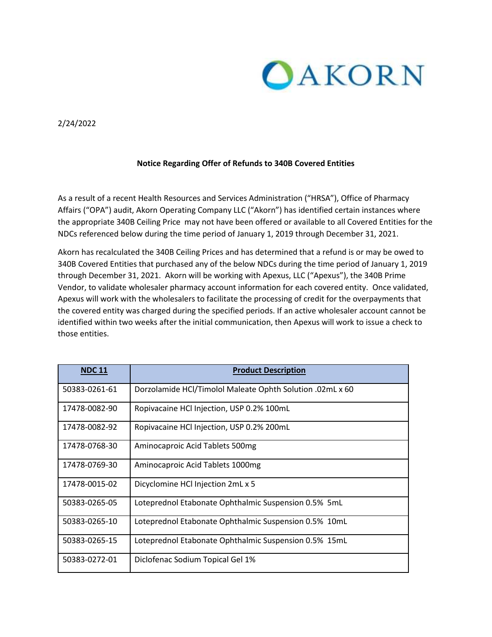

2/24/2022

## **Notice Regarding Offer of Refunds to 340B Covered Entities**

As a result of a recent Health Resources and Services Administration ("HRSA"), Office of Pharmacy Affairs ("OPA") audit, Akorn Operating Company LLC ("Akorn") has identified certain instances where the appropriate 340B Ceiling Price may not have been offered or available to all Covered Entities for the NDCs referenced below during the time period of January 1, 2019 through December 31, 2021.

Akorn has recalculated the 340B Ceiling Prices and has determined that a refund is or may be owed to 340B Covered Entities that purchased any of the below NDCs during the time period of January 1, 2019 through December 31, 2021. Akorn will be working with Apexus, LLC ("Apexus"), the 340B Prime Vendor, to validate wholesaler pharmacy account information for each covered entity. Once validated, Apexus will work with the wholesalers to facilitate the processing of credit for the overpayments that the covered entity was charged during the specified periods. If an active wholesaler account cannot be identified within two weeks after the initial communication, then Apexus will work to issue a check to those entities.

| <b>NDC11</b>  | <b>Product Description</b>                                |
|---------------|-----------------------------------------------------------|
| 50383-0261-61 | Dorzolamide HCl/Timolol Maleate Ophth Solution .02mL x 60 |
| 17478-0082-90 | Ropivacaine HCl Injection, USP 0.2% 100mL                 |
| 17478-0082-92 | Ropivacaine HCl Injection, USP 0.2% 200mL                 |
| 17478-0768-30 | Aminocaproic Acid Tablets 500mg                           |
| 17478-0769-30 | Aminocaproic Acid Tablets 1000mg                          |
| 17478-0015-02 | Dicyclomine HCl Injection 2mL x 5                         |
| 50383-0265-05 | Loteprednol Etabonate Ophthalmic Suspension 0.5% 5mL      |
| 50383-0265-10 | Loteprednol Etabonate Ophthalmic Suspension 0.5% 10mL     |
| 50383-0265-15 | Loteprednol Etabonate Ophthalmic Suspension 0.5% 15mL     |
| 50383-0272-01 | Diclofenac Sodium Topical Gel 1%                          |